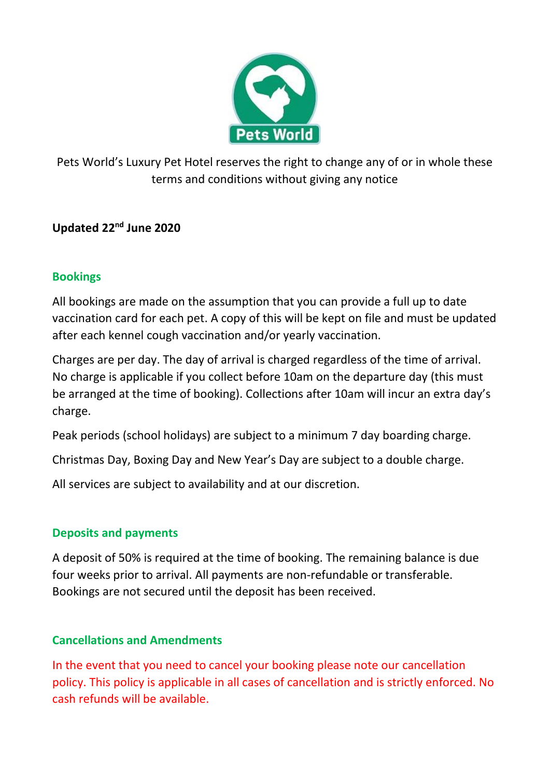

Pets World's Luxury Pet Hotel reserves the right to change any of or in whole these terms and conditions without giving any notice

## **Updated 22nd June 2020**

### **Bookings**

All bookings are made on the assumption that you can provide a full up to date vaccination card for each pet. A copy of this will be kept on file and must be updated after each kennel cough vaccination and/or yearly vaccination.

Charges are per day. The day of arrival is charged regardless of the time of arrival. No charge is applicable if you collect before 10am on the departure day (this must be arranged at the time of booking). Collections after 10am will incur an extra day's charge.

Peak periods (school holidays) are subject to a minimum 7 day boarding charge.

Christmas Day, Boxing Day and New Year's Day are subject to a double charge.

All services are subject to availability and at our discretion.

## **Deposits and payments**

A deposit of 50% is required at the time of booking. The remaining balance is due four weeks prior to arrival. All payments are non-refundable or transferable. Bookings are not secured until the deposit has been received.

## **Cancellations and Amendments**

In the event that you need to cancel your booking please note our cancellation policy. This policy is applicable in all cases of cancellation and is strictly enforced. No cash refunds will be available.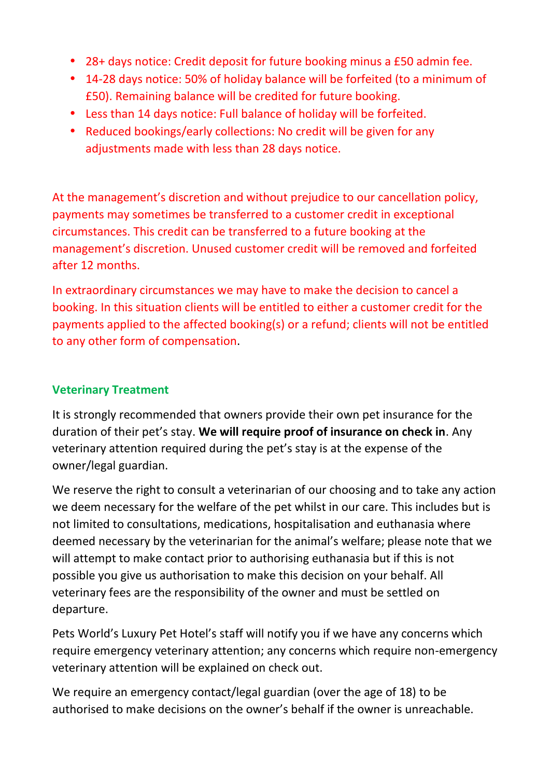28+ days notice: Credit deposit for future booking minus a £50 admin fee. 14-28 days notice: 50% of holiday balance will be forfeited (to a minimum of £50). Remaining balance will be credited for future booking. Less than 14 days notice: Full balance of holiday will be forfeited. Reduced bookings/early collections: No credit will be given for any adjustments made with less than 28 days notice.

At the management's discretion and without prejudice to our cancellation policy, payments may sometimes be transferred to a customer credit in exceptional circumstances. This credit can be transferred to a future booking at the management's discretion. Unused customer credit will be removed and forfeited after 12 months.

In extraordinary circumstances we may have to make the decision to cancel a booking. In this situation clients will be entitled to either a customer credit for the payments applied to the affected booking(s) or a refund; clients will not be entitled to any other form of compensation.

## **Veterinary Treatment**

It is strongly recommended that owners provide their own pet insurance for the duration of their pet's stay. **We will require proof of insurance on check in**. Any veterinary attention required during the pet's stay is at the expense of the owner/legal guardian.

We reserve the right to consult a veterinarian of our choosing and to take any action we deem necessary for the welfare of the pet whilst in our care. This includes but is not limited to consultations, medications, hospitalisation and euthanasia where deemed necessary by the veterinarian for the animal's welfare; please note that we will attempt to make contact prior to authorising euthanasia but if this is not possible you give us authorisation to make this decision on your behalf. All veterinary fees are the responsibility of the owner and must be settled on departure.

Pets World's Luxury Pet Hotel's staff will notify you if we have any concerns which require emergency veterinary attention; any concerns which require non-emergency veterinary attention will be explained on check out.

We require an emergency contact/legal guardian (over the age of 18) to be authorised to make decisions on the owner's behalf if the owner is unreachable.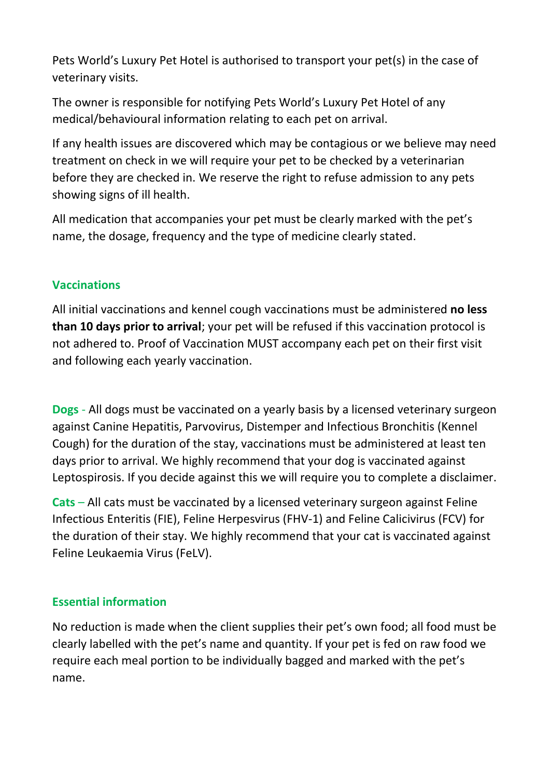Pets World's Luxury Pet Hotel is authorised to transport your pet(s) in the case of veterinary visits.

The owner is responsible for notifying Pets World's Luxury Pet Hotel of any medical/behavioural information relating to each pet on arrival.

If any health issues are discovered which may be contagious or we believe may need treatment on check in we will require your pet to be checked by a veterinarian before they are checked in. We reserve the right to refuse admission to any pets showing signs of ill health.

All medication that accompanies your pet must be clearly marked with the pet's name, the dosage, frequency and the type of medicine clearly stated.

## **Vaccinations**

All initial vaccinations and kennel cough vaccinations must be administered **no less than 10 days prior to arrival**; your pet will be refused if this vaccination protocol is not adhered to. Proof of Vaccination MUST accompany each pet on their first visit and following each yearly vaccination.

**Dogs** - All dogs must be vaccinated on a yearly basis by a licensed veterinary surgeon against Canine Hepatitis, Parvovirus, Distemper and Infectious Bronchitis (Kennel Cough) for the duration of the stay, vaccinations must be administered at least ten days prior to arrival. We highly recommend that your dog is vaccinated against Leptospirosis. If you decide against this we will require you to complete a disclaimer.

**Cats** – All cats must be vaccinated by a licensed veterinary surgeon against Feline Infectious Enteritis (FIE), Feline Herpesvirus (FHV-1) and Feline Calicivirus (FCV) for the duration of their stay. We highly recommend that your cat is vaccinated against Feline Leukaemia Virus (FeLV).

## **Essential information**

No reduction is made when the client supplies their pet's own food; all food must be clearly labelled with the pet's name and quantity. If your pet is fed on raw food we require each meal portion to be individually bagged and marked with the pet's name.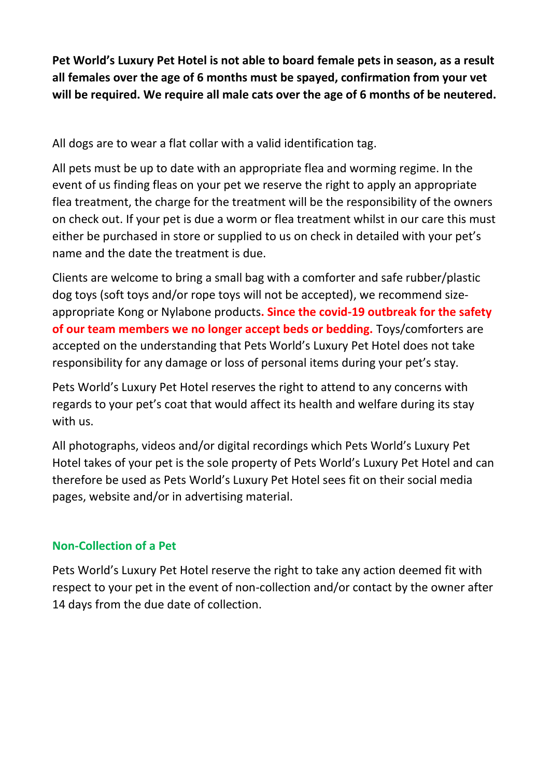**Pet World's Luxury Pet Hotel is not able to board female pets in season, as a result all females over the age of 6 months must be spayed, confirmation from your vet will be required. We require all male cats over the age of 6 months of be neutered.**

All dogs are to wear a flat collar with a valid identification tag.

All pets must be up to date with an appropriate flea and worming regime. In the event of us finding fleas on your pet we reserve the right to apply an appropriate flea treatment, the charge for the treatment will be the responsibility of the owners on check out. If your pet is due a worm or flea treatment whilst in our care this must either be purchased in store or supplied to us on check in detailed with your pet's name and the date the treatment is due.

Clients are welcome to bring a small bag with a comforter and safe rubber/plastic dog toys (soft toys and/or rope toys will not be accepted), we recommend size appropriate Kong or Nylabone products**. Since the covid-19 outbreak for the safety of our team members we no longer accept beds or bedding.** Toys/comforters are accepted on the understanding that Pets World's Luxury Pet Hotel does not take responsibility for any damage or loss of personal items during your pet's stay.

Pets World's Luxury Pet Hotel reserves the right to attend to any concerns with regards to your pet's coat that would affect its health and welfare during its stay with us.

All photographs, videos and/or digital recordings which Pets World's Luxury Pet Hotel takes of your pet is the sole property of Pets World's Luxury Pet Hotel and can therefore be used as Pets World's Luxury Pet Hotel sees fit on their social media pages, website and/or in advertising material.

# **Non-Collection of a Pet**

Pets World's Luxury Pet Hotel reserve the right to take any action deemed fit with respect to your pet in the event of non-collection and/or contact by the owner after 14 days from the due date of collection.